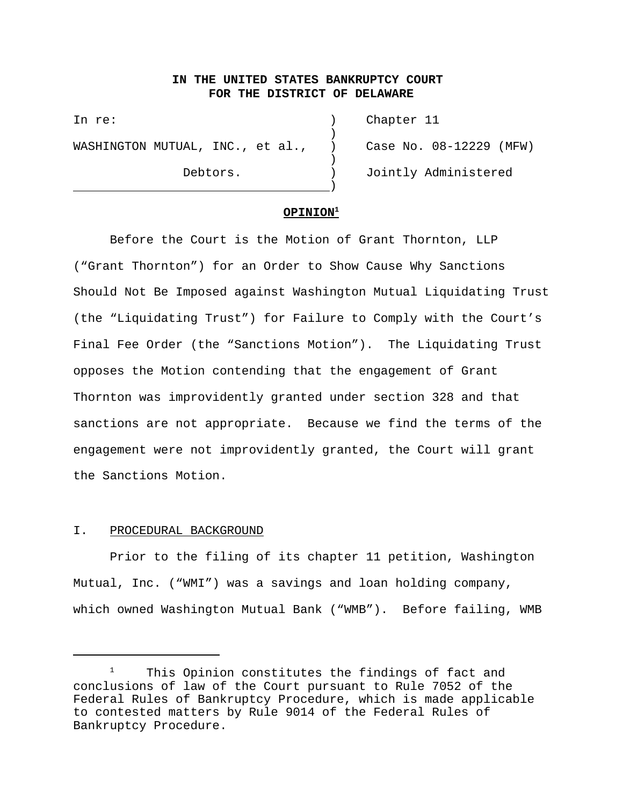# **IN THE UNITED STATES BANKRUPTCY COURT FOR THE DISTRICT OF DELAWARE**

)

)

In re: ) Chapter 11 WASHINGTON MUTUAL, INC., et al., ) Case No. 08-12229 (MFW)

<u>)</u>

Debtors. ) Jointly Administered

### **OPINION1**

Before the Court is the Motion of Grant Thornton, LLP ("Grant Thornton") for an Order to Show Cause Why Sanctions Should Not Be Imposed against Washington Mutual Liquidating Trust (the "Liquidating Trust") for Failure to Comply with the Court's Final Fee Order (the "Sanctions Motion"). The Liquidating Trust opposes the Motion contending that the engagement of Grant Thornton was improvidently granted under section 328 and that sanctions are not appropriate. Because we find the terms of the engagement were not improvidently granted, the Court will grant the Sanctions Motion.

### I. PROCEDURAL BACKGROUND

Prior to the filing of its chapter 11 petition, Washington Mutual, Inc. ("WMI") was a savings and loan holding company, which owned Washington Mutual Bank ("WMB"). Before failing, WMB

This Opinion constitutes the findings of fact and conclusions of law of the Court pursuant to Rule 7052 of the Federal Rules of Bankruptcy Procedure, which is made applicable to contested matters by Rule 9014 of the Federal Rules of Bankruptcy Procedure.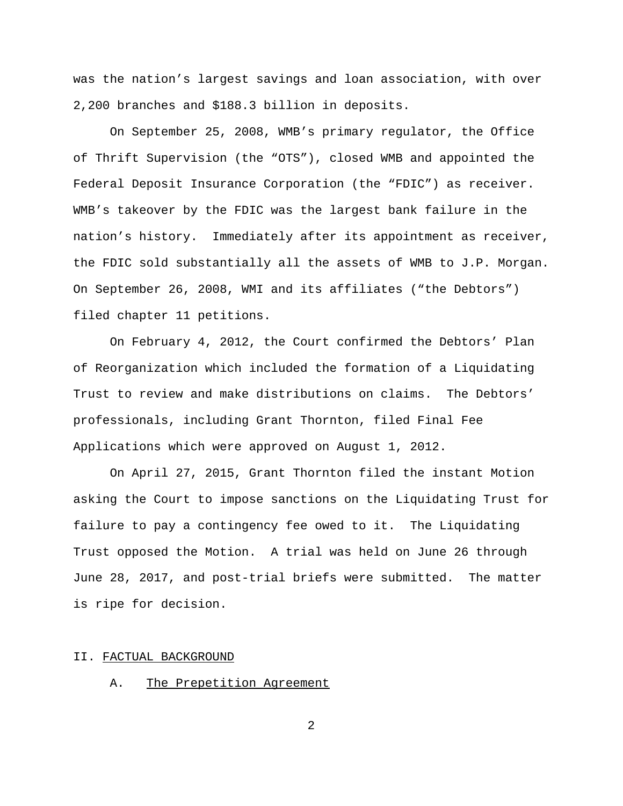was the nation's largest savings and loan association, with over 2,200 branches and \$188.3 billion in deposits.

On September 25, 2008, WMB's primary regulator, the Office of Thrift Supervision (the "OTS"), closed WMB and appointed the Federal Deposit Insurance Corporation (the "FDIC") as receiver. WMB's takeover by the FDIC was the largest bank failure in the nation's history. Immediately after its appointment as receiver, the FDIC sold substantially all the assets of WMB to J.P. Morgan. On September 26, 2008, WMI and its affiliates ("the Debtors") filed chapter 11 petitions.

On February 4, 2012, the Court confirmed the Debtors' Plan of Reorganization which included the formation of a Liquidating Trust to review and make distributions on claims. The Debtors' professionals, including Grant Thornton, filed Final Fee Applications which were approved on August 1, 2012.

On April 27, 2015, Grant Thornton filed the instant Motion asking the Court to impose sanctions on the Liquidating Trust for failure to pay a contingency fee owed to it. The Liquidating Trust opposed the Motion. A trial was held on June 26 through June 28, 2017, and post-trial briefs were submitted. The matter is ripe for decision.

### II. FACTUAL BACKGROUND

A. The Prepetition Agreement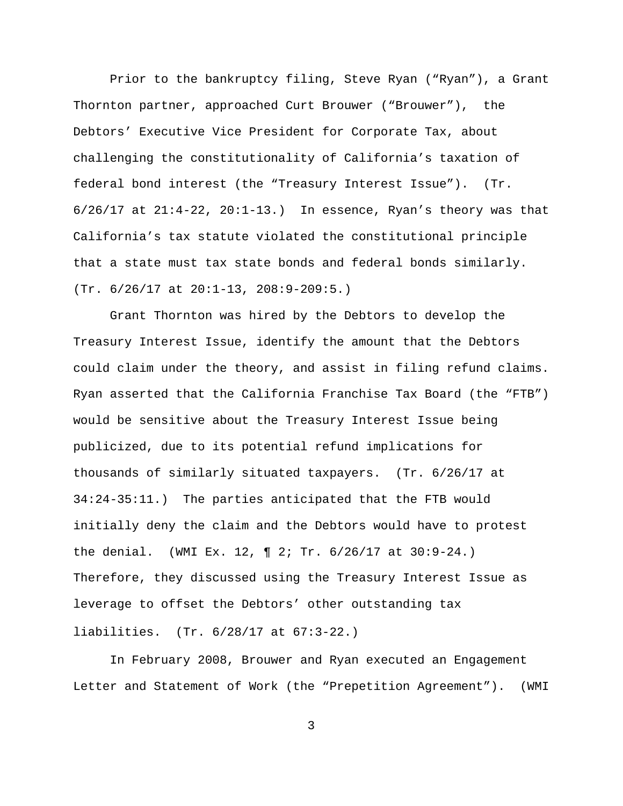Prior to the bankruptcy filing, Steve Ryan ("Ryan"), a Grant Thornton partner, approached Curt Brouwer ("Brouwer"), the Debtors' Executive Vice President for Corporate Tax, about challenging the constitutionality of California's taxation of federal bond interest (the "Treasury Interest Issue"). (Tr.  $6/26/17$  at  $21:4-22$ ,  $20:1-13$ . In essence, Ryan's theory was that California's tax statute violated the constitutional principle that a state must tax state bonds and federal bonds similarly. (Tr. 6/26/17 at 20:1-13, 208:9-209:5.)

Grant Thornton was hired by the Debtors to develop the Treasury Interest Issue, identify the amount that the Debtors could claim under the theory, and assist in filing refund claims. Ryan asserted that the California Franchise Tax Board (the "FTB") would be sensitive about the Treasury Interest Issue being publicized, due to its potential refund implications for thousands of similarly situated taxpayers. (Tr. 6/26/17 at 34:24-35:11.) The parties anticipated that the FTB would initially deny the claim and the Debtors would have to protest the denial. (WMI Ex. 12, ¶ 2; Tr. 6/26/17 at 30:9-24.) Therefore, they discussed using the Treasury Interest Issue as leverage to offset the Debtors' other outstanding tax liabilities. (Tr. 6/28/17 at 67:3-22.)

In February 2008, Brouwer and Ryan executed an Engagement Letter and Statement of Work (the "Prepetition Agreement"). (WMI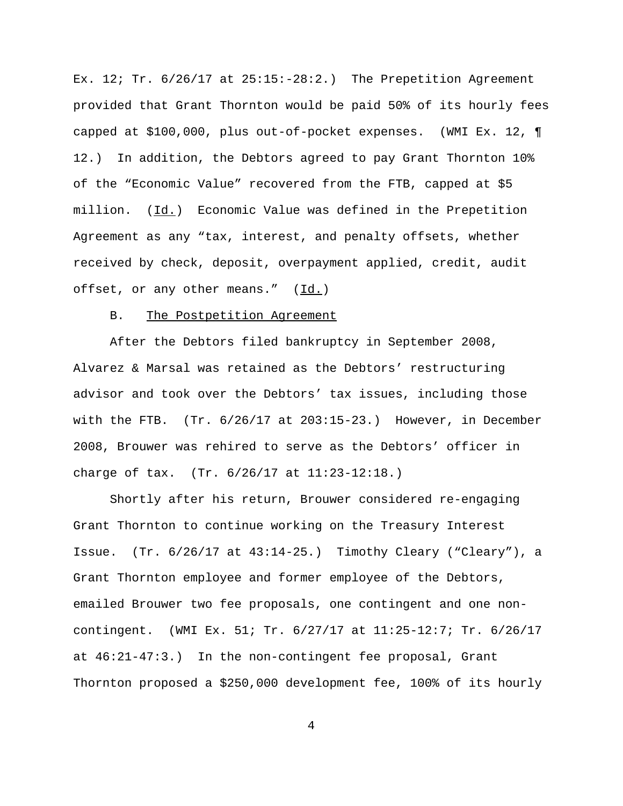Ex. 12; Tr.  $6/26/17$  at  $25:15:-28:2.$ ) The Prepetition Agreement provided that Grant Thornton would be paid 50% of its hourly fees capped at \$100,000, plus out-of-pocket expenses. (WMI Ex. 12, ¶ 12.) In addition, the Debtors agreed to pay Grant Thornton 10% of the "Economic Value" recovered from the FTB, capped at \$5 million.  $(\underline{Id.})$  Economic Value was defined in the Prepetition Agreement as any "tax, interest, and penalty offsets, whether received by check, deposit, overpayment applied, credit, audit offset, or any other means."  $(\underline{Id.})$ 

### B. The Postpetition Agreement

After the Debtors filed bankruptcy in September 2008, Alvarez & Marsal was retained as the Debtors' restructuring advisor and took over the Debtors' tax issues, including those with the FTB.  $(Tr. 6/26/17$  at  $203:15-23.$ ) However, in December 2008, Brouwer was rehired to serve as the Debtors' officer in charge of tax. (Tr. 6/26/17 at 11:23-12:18.)

Shortly after his return, Brouwer considered re-engaging Grant Thornton to continue working on the Treasury Interest Issue. (Tr. 6/26/17 at 43:14-25.) Timothy Cleary ("Cleary"), a Grant Thornton employee and former employee of the Debtors, emailed Brouwer two fee proposals, one contingent and one noncontingent. (WMI Ex. 51; Tr. 6/27/17 at 11:25-12:7; Tr. 6/26/17 at 46:21-47:3.) In the non-contingent fee proposal, Grant Thornton proposed a \$250,000 development fee, 100% of its hourly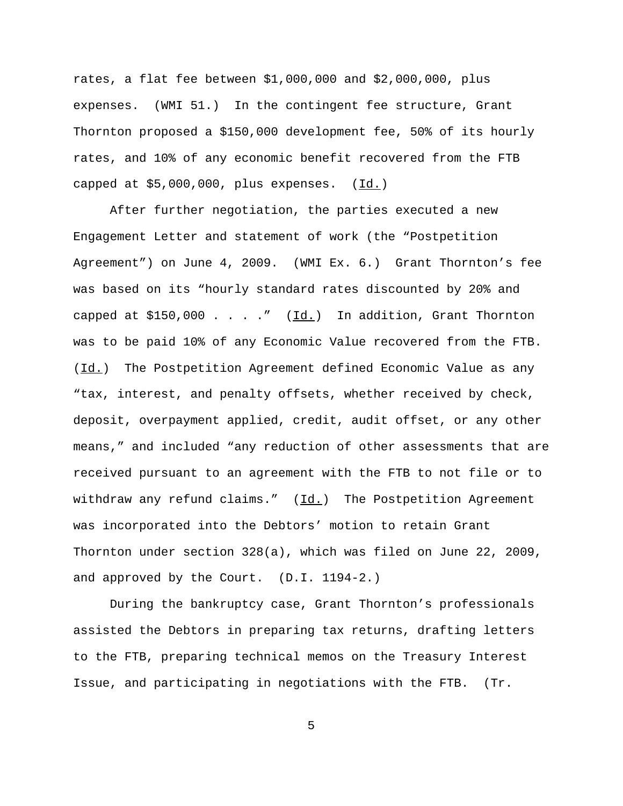rates, a flat fee between \$1,000,000 and \$2,000,000, plus expenses. (WMI 51.) In the contingent fee structure, Grant Thornton proposed a \$150,000 development fee, 50% of its hourly rates, and 10% of any economic benefit recovered from the FTB capped at \$5,000,000, plus expenses. (Id.)

After further negotiation, the parties executed a new Engagement Letter and statement of work (the "Postpetition Agreement") on June 4, 2009. (WMI Ex. 6.) Grant Thornton's fee was based on its "hourly standard rates discounted by 20% and capped at \$150,000 . . . ." (Id.) In addition, Grant Thornton was to be paid 10% of any Economic Value recovered from the FTB. (Id.) The Postpetition Agreement defined Economic Value as any "tax, interest, and penalty offsets, whether received by check, deposit, overpayment applied, credit, audit offset, or any other means," and included "any reduction of other assessments that are received pursuant to an agreement with the FTB to not file or to withdraw any refund claims."  $(\underline{Id.})$  The Postpetition Agreement was incorporated into the Debtors' motion to retain Grant Thornton under section 328(a), which was filed on June 22, 2009, and approved by the Court. (D.I. 1194-2.)

During the bankruptcy case, Grant Thornton's professionals assisted the Debtors in preparing tax returns, drafting letters to the FTB, preparing technical memos on the Treasury Interest Issue, and participating in negotiations with the FTB. (Tr.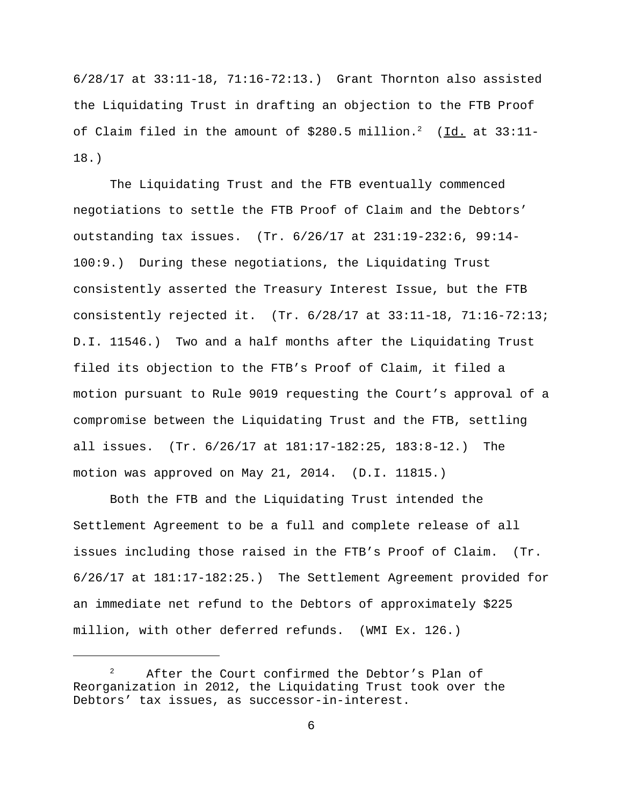6/28/17 at 33:11-18, 71:16-72:13.) Grant Thornton also assisted the Liquidating Trust in drafting an objection to the FTB Proof of Claim filed in the amount of \$280.5 million.<sup>2</sup> (Id. at 33:11-18.)

The Liquidating Trust and the FTB eventually commenced negotiations to settle the FTB Proof of Claim and the Debtors' outstanding tax issues. (Tr. 6/26/17 at 231:19-232:6, 99:14- 100:9.) During these negotiations, the Liquidating Trust consistently asserted the Treasury Interest Issue, but the FTB consistently rejected it. (Tr. 6/28/17 at 33:11-18, 71:16-72:13; D.I. 11546.) Two and a half months after the Liquidating Trust filed its objection to the FTB's Proof of Claim, it filed a motion pursuant to Rule 9019 requesting the Court's approval of a compromise between the Liquidating Trust and the FTB, settling all issues. (Tr. 6/26/17 at 181:17-182:25, 183:8-12.) The motion was approved on May 21, 2014. (D.I. 11815.)

Both the FTB and the Liquidating Trust intended the Settlement Agreement to be a full and complete release of all issues including those raised in the FTB's Proof of Claim. (Tr. 6/26/17 at 181:17-182:25.) The Settlement Agreement provided for an immediate net refund to the Debtors of approximately \$225 million, with other deferred refunds. (WMI Ex. 126.)

After the Court confirmed the Debtor's Plan of Reorganization in 2012, the Liquidating Trust took over the Debtors' tax issues, as successor-in-interest.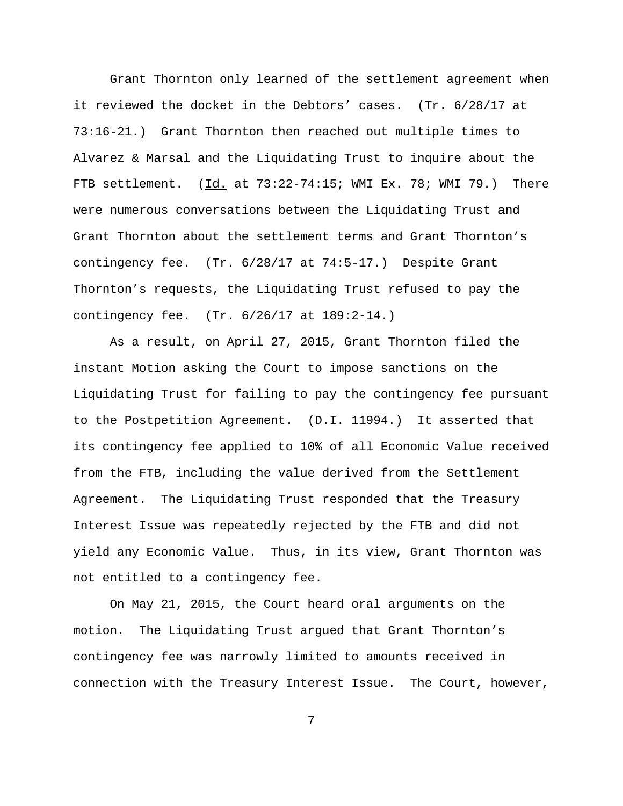Grant Thornton only learned of the settlement agreement when it reviewed the docket in the Debtors' cases. (Tr. 6/28/17 at 73:16-21.) Grant Thornton then reached out multiple times to Alvarez & Marsal and the Liquidating Trust to inquire about the FTB settlement. (Id. at 73:22-74:15; WMI Ex. 78; WMI 79.) There were numerous conversations between the Liquidating Trust and Grant Thornton about the settlement terms and Grant Thornton's contingency fee. (Tr. 6/28/17 at 74:5-17.) Despite Grant Thornton's requests, the Liquidating Trust refused to pay the contingency fee. (Tr. 6/26/17 at 189:2-14.)

As a result, on April 27, 2015, Grant Thornton filed the instant Motion asking the Court to impose sanctions on the Liquidating Trust for failing to pay the contingency fee pursuant to the Postpetition Agreement. (D.I. 11994.) It asserted that its contingency fee applied to 10% of all Economic Value received from the FTB, including the value derived from the Settlement Agreement. The Liquidating Trust responded that the Treasury Interest Issue was repeatedly rejected by the FTB and did not yield any Economic Value. Thus, in its view, Grant Thornton was not entitled to a contingency fee.

On May 21, 2015, the Court heard oral arguments on the motion. The Liquidating Trust argued that Grant Thornton's contingency fee was narrowly limited to amounts received in connection with the Treasury Interest Issue. The Court, however,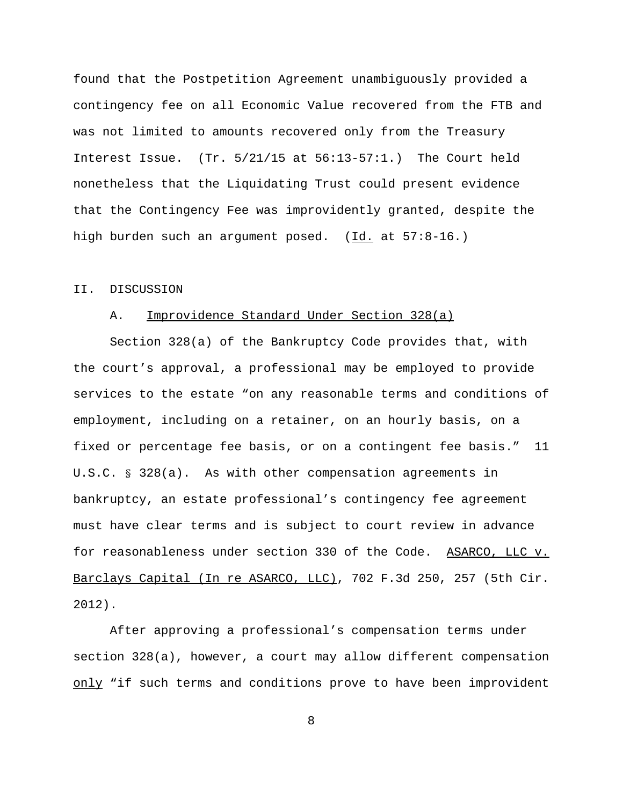found that the Postpetition Agreement unambiguously provided a contingency fee on all Economic Value recovered from the FTB and was not limited to amounts recovered only from the Treasury Interest Issue. (Tr. 5/21/15 at 56:13-57:1.) The Court held nonetheless that the Liquidating Trust could present evidence that the Contingency Fee was improvidently granted, despite the high burden such an argument posed. (Id. at 57:8-16.)

#### II. DISCUSSION

### A. Improvidence Standard Under Section 328(a)

Section 328(a) of the Bankruptcy Code provides that, with the court's approval, a professional may be employed to provide services to the estate "on any reasonable terms and conditions of employment, including on a retainer, on an hourly basis, on a fixed or percentage fee basis, or on a contingent fee basis." 11 U.S.C. § 328(a). As with other compensation agreements in bankruptcy, an estate professional's contingency fee agreement must have clear terms and is subject to court review in advance for reasonableness under section 330 of the Code. ASARCO, LLC v. Barclays Capital (In re ASARCO, LLC), 702 F.3d 250, 257 (5th Cir. 2012).

After approving a professional's compensation terms under section 328(a), however, a court may allow different compensation only "if such terms and conditions prove to have been improvident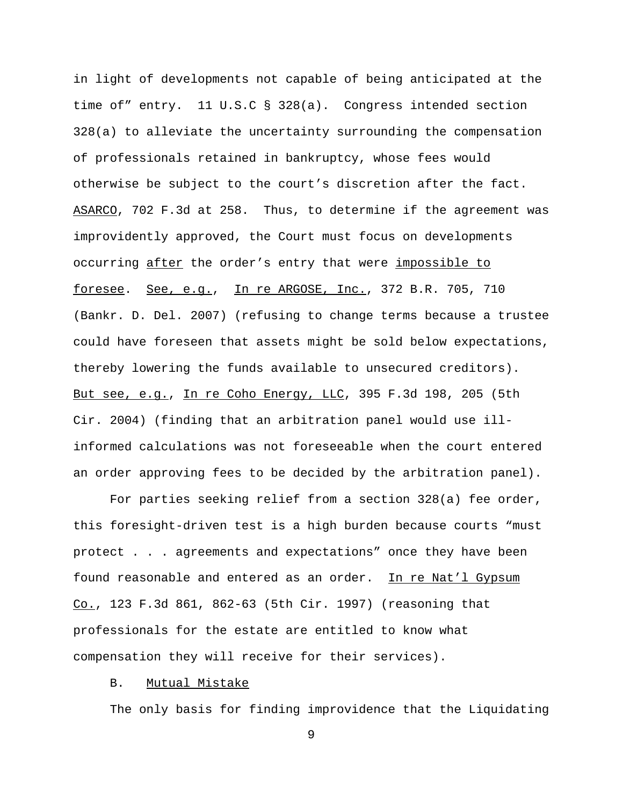in light of developments not capable of being anticipated at the time of" entry. 11 U.S.C § 328(a). Congress intended section 328(a) to alleviate the uncertainty surrounding the compensation of professionals retained in bankruptcy, whose fees would otherwise be subject to the court's discretion after the fact. ASARCO, 702 F.3d at 258. Thus, to determine if the agreement was improvidently approved, the Court must focus on developments occurring after the order's entry that were impossible to foresee. See, e.g., In re ARGOSE, Inc., 372 B.R. 705, 710 (Bankr. D. Del. 2007) (refusing to change terms because a trustee could have foreseen that assets might be sold below expectations, thereby lowering the funds available to unsecured creditors). But see, e.g., In re Coho Energy, LLC, 395 F.3d 198, 205 (5th Cir. 2004) (finding that an arbitration panel would use illinformed calculations was not foreseeable when the court entered an order approving fees to be decided by the arbitration panel).

For parties seeking relief from a section 328(a) fee order, this foresight-driven test is a high burden because courts "must protect . . . agreements and expectations" once they have been found reasonable and entered as an order. In re Nat'l Gypsum Co., 123 F.3d 861, 862-63 (5th Cir. 1997) (reasoning that professionals for the estate are entitled to know what compensation they will receive for their services).

# B. Mutual Mistake

The only basis for finding improvidence that the Liquidating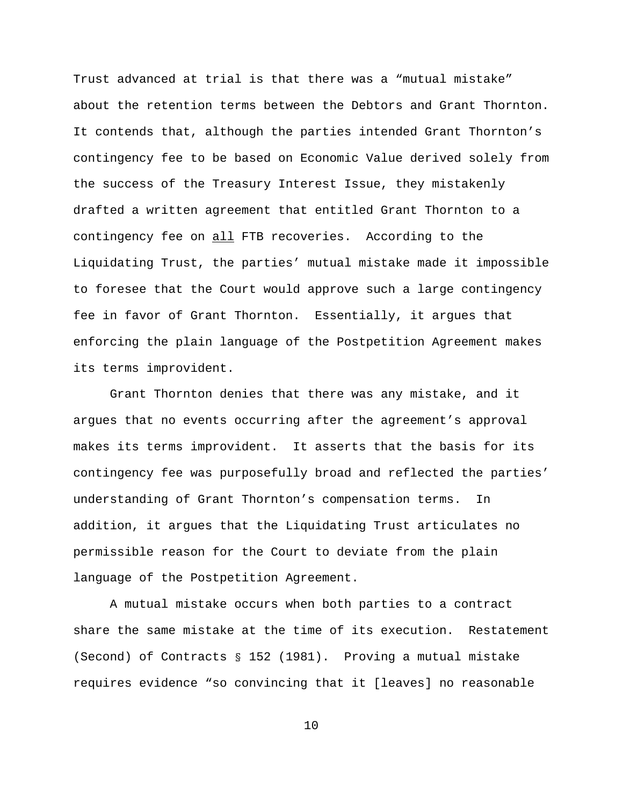Trust advanced at trial is that there was a "mutual mistake" about the retention terms between the Debtors and Grant Thornton. It contends that, although the parties intended Grant Thornton's contingency fee to be based on Economic Value derived solely from the success of the Treasury Interest Issue, they mistakenly drafted a written agreement that entitled Grant Thornton to a contingency fee on all FTB recoveries. According to the Liquidating Trust, the parties' mutual mistake made it impossible to foresee that the Court would approve such a large contingency fee in favor of Grant Thornton. Essentially, it argues that enforcing the plain language of the Postpetition Agreement makes its terms improvident.

Grant Thornton denies that there was any mistake, and it argues that no events occurring after the agreement's approval makes its terms improvident. It asserts that the basis for its contingency fee was purposefully broad and reflected the parties' understanding of Grant Thornton's compensation terms. In addition, it argues that the Liquidating Trust articulates no permissible reason for the Court to deviate from the plain language of the Postpetition Agreement.

A mutual mistake occurs when both parties to a contract share the same mistake at the time of its execution. Restatement (Second) of Contracts § 152 (1981). Proving a mutual mistake requires evidence "so convincing that it [leaves] no reasonable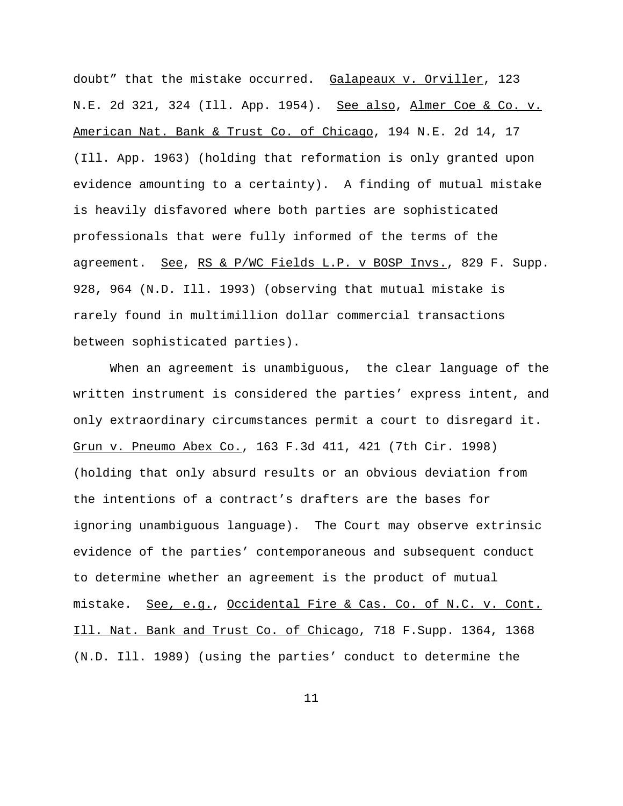doubt" that the mistake occurred. Galapeaux v. Orviller, 123 N.E. 2d 321, 324 (Ill. App. 1954). See also, Almer Coe & Co. v. American Nat. Bank & Trust Co. of Chicago, 194 N.E. 2d 14, 17 (Ill. App. 1963) (holding that reformation is only granted upon evidence amounting to a certainty). A finding of mutual mistake is heavily disfavored where both parties are sophisticated professionals that were fully informed of the terms of the agreement. See, RS & P/WC Fields L.P. v BOSP Invs., 829 F. Supp. 928, 964 (N.D. Ill. 1993) (observing that mutual mistake is rarely found in multimillion dollar commercial transactions between sophisticated parties).

When an agreement is unambiguous, the clear language of the written instrument is considered the parties' express intent, and only extraordinary circumstances permit a court to disregard it. Grun v. Pneumo Abex Co., 163 F.3d 411, 421 (7th Cir. 1998) (holding that only absurd results or an obvious deviation from the intentions of a contract's drafters are the bases for ignoring unambiguous language). The Court may observe extrinsic evidence of the parties' contemporaneous and subsequent conduct to determine whether an agreement is the product of mutual mistake. See, e.g., Occidental Fire & Cas. Co. of N.C. v. Cont. Ill. Nat. Bank and Trust Co. of Chicago, 718 F.Supp. 1364, 1368 (N.D. Ill. 1989) (using the parties' conduct to determine the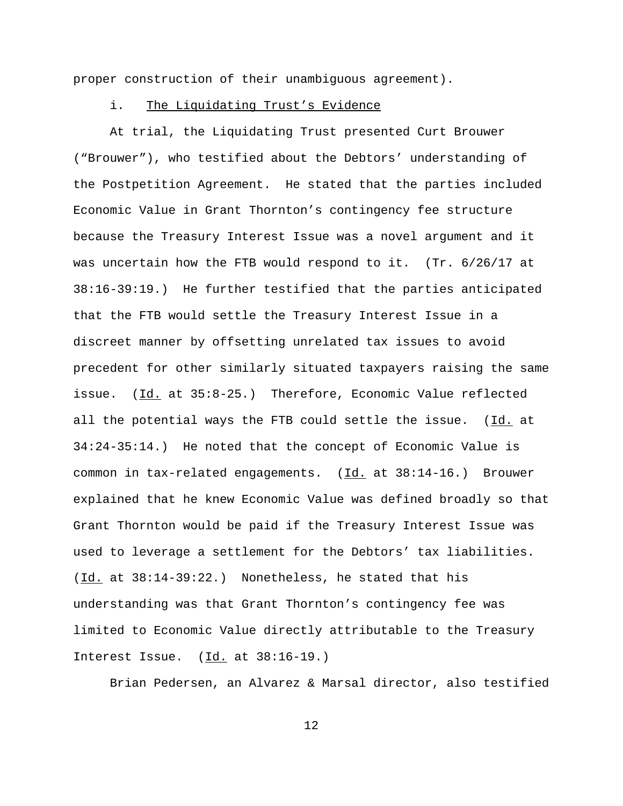proper construction of their unambiguous agreement).

## i. The Liquidating Trust's Evidence

At trial, the Liquidating Trust presented Curt Brouwer ("Brouwer"), who testified about the Debtors' understanding of the Postpetition Agreement. He stated that the parties included Economic Value in Grant Thornton's contingency fee structure because the Treasury Interest Issue was a novel argument and it was uncertain how the FTB would respond to it. (Tr. 6/26/17 at 38:16-39:19.) He further testified that the parties anticipated that the FTB would settle the Treasury Interest Issue in a discreet manner by offsetting unrelated tax issues to avoid precedent for other similarly situated taxpayers raising the same issue. (Id. at 35:8-25.) Therefore, Economic Value reflected all the potential ways the FTB could settle the issue. (Id. at 34:24-35:14.) He noted that the concept of Economic Value is common in tax-related engagements.  $(\underline{Id.}$  at  $38:14-16.)$  Brouwer explained that he knew Economic Value was defined broadly so that Grant Thornton would be paid if the Treasury Interest Issue was used to leverage a settlement for the Debtors' tax liabilities. (Id. at 38:14-39:22.) Nonetheless, he stated that his understanding was that Grant Thornton's contingency fee was limited to Economic Value directly attributable to the Treasury Interest Issue. (Id. at 38:16-19.)

Brian Pedersen, an Alvarez & Marsal director, also testified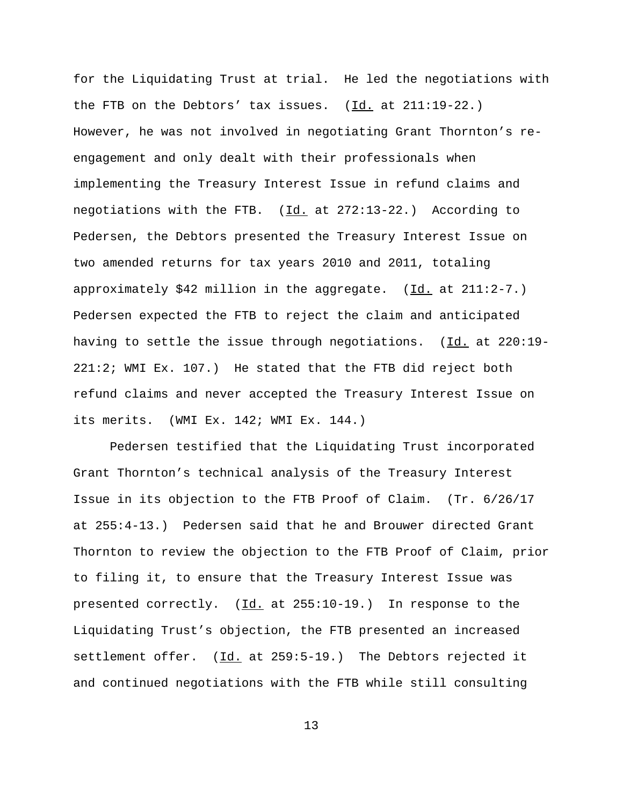for the Liquidating Trust at trial. He led the negotiations with the FTB on the Debtors' tax issues.  $(\underline{Id.}$  at  $211:19-22.)$ However, he was not involved in negotiating Grant Thornton's reengagement and only dealt with their professionals when implementing the Treasury Interest Issue in refund claims and negotiations with the FTB.  $(\underline{Id.}$  at 272:13-22.) According to Pedersen, the Debtors presented the Treasury Interest Issue on two amended returns for tax years 2010 and 2011, totaling approximately \$42 million in the aggregate.  $(\underline{Id.}$  at 211:2-7.) Pedersen expected the FTB to reject the claim and anticipated having to settle the issue through negotiations. ( $\underline{Id.}$  at 220:19-221:2; WMI Ex. 107.) He stated that the FTB did reject both refund claims and never accepted the Treasury Interest Issue on its merits. (WMI Ex. 142; WMI Ex. 144.)

Pedersen testified that the Liquidating Trust incorporated Grant Thornton's technical analysis of the Treasury Interest Issue in its objection to the FTB Proof of Claim. (Tr. 6/26/17 at 255:4-13.) Pedersen said that he and Brouwer directed Grant Thornton to review the objection to the FTB Proof of Claim, prior to filing it, to ensure that the Treasury Interest Issue was presented correctly. (Id. at 255:10-19.) In response to the Liquidating Trust's objection, the FTB presented an increased settlement offer. (Id. at 259:5-19.) The Debtors rejected it and continued negotiations with the FTB while still consulting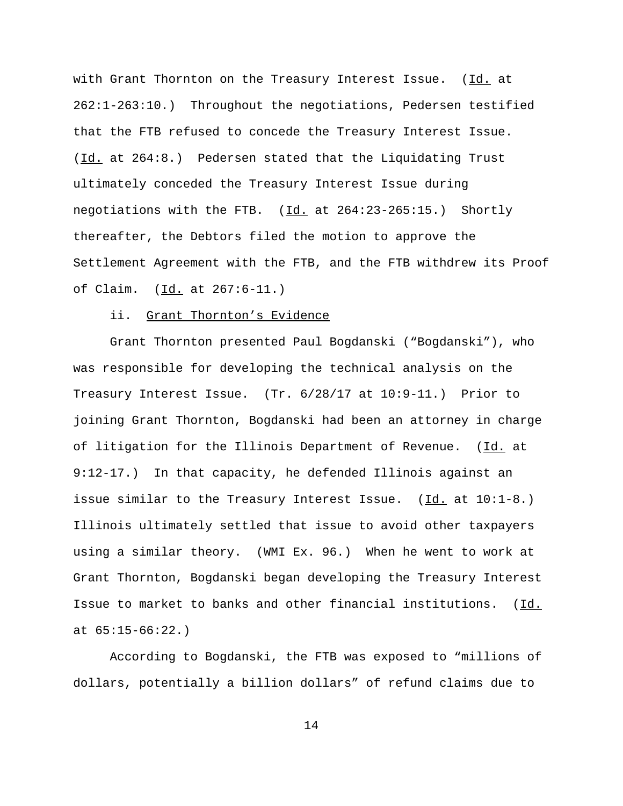with Grant Thornton on the Treasury Interest Issue. (Id. at 262:1-263:10.) Throughout the negotiations, Pedersen testified that the FTB refused to concede the Treasury Interest Issue. (Id. at 264:8.) Pedersen stated that the Liquidating Trust ultimately conceded the Treasury Interest Issue during negotiations with the FTB.  $(\underline{Id.}$  at 264:23-265:15.) Shortly thereafter, the Debtors filed the motion to approve the Settlement Agreement with the FTB, and the FTB withdrew its Proof of Claim. (Id. at 267:6-11.)

## ii. Grant Thornton's Evidence

Grant Thornton presented Paul Bogdanski ("Bogdanski"), who was responsible for developing the technical analysis on the Treasury Interest Issue. (Tr. 6/28/17 at 10:9-11.) Prior to joining Grant Thornton, Bogdanski had been an attorney in charge of litigation for the Illinois Department of Revenue. (Id. at 9:12-17.) In that capacity, he defended Illinois against an issue similar to the Treasury Interest Issue.  $(\underline{Id.}$  at  $10:1-8.)$ Illinois ultimately settled that issue to avoid other taxpayers using a similar theory. (WMI Ex. 96.) When he went to work at Grant Thornton, Bogdanski began developing the Treasury Interest Issue to market to banks and other financial institutions. (Id. at 65:15-66:22.)

According to Bogdanski, the FTB was exposed to "millions of dollars, potentially a billion dollars" of refund claims due to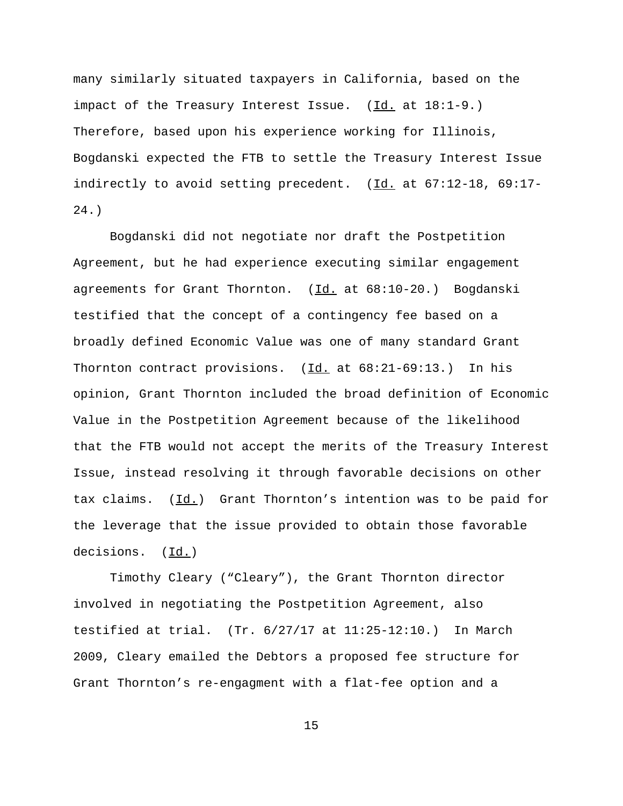many similarly situated taxpayers in California, based on the impact of the Treasury Interest Issue. (Id. at 18:1-9.) Therefore, based upon his experience working for Illinois, Bogdanski expected the FTB to settle the Treasury Interest Issue indirectly to avoid setting precedent. (Id. at 67:12-18, 69:17- 24.)

Bogdanski did not negotiate nor draft the Postpetition Agreement, but he had experience executing similar engagement agreements for Grant Thornton. (Id. at 68:10-20.) Bogdanski testified that the concept of a contingency fee based on a broadly defined Economic Value was one of many standard Grant Thornton contract provisions.  $(\underline{Id.}$  at  $68:21-69:13.)$  In his opinion, Grant Thornton included the broad definition of Economic Value in the Postpetition Agreement because of the likelihood that the FTB would not accept the merits of the Treasury Interest Issue, instead resolving it through favorable decisions on other tax claims. (Id.) Grant Thornton's intention was to be paid for the leverage that the issue provided to obtain those favorable decisions. (Id.)

Timothy Cleary ("Cleary"), the Grant Thornton director involved in negotiating the Postpetition Agreement, also testified at trial.  $(Tr. 6/27/17$  at  $11:25-12:10.)$  In March 2009, Cleary emailed the Debtors a proposed fee structure for Grant Thornton's re-engagment with a flat-fee option and a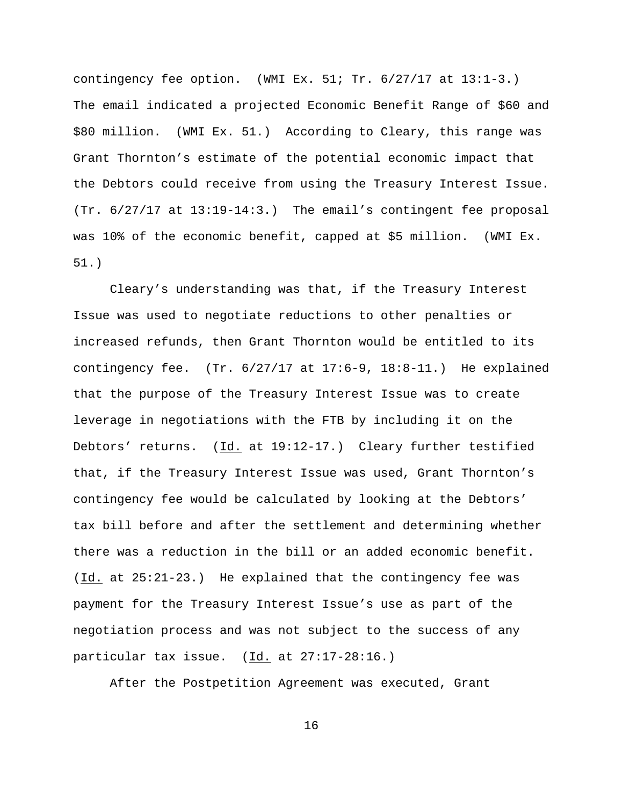contingency fee option. (WMI Ex. 51; Tr. 6/27/17 at 13:1-3.) The email indicated a projected Economic Benefit Range of \$60 and \$80 million. (WMI Ex. 51.) According to Cleary, this range was Grant Thornton's estimate of the potential economic impact that the Debtors could receive from using the Treasury Interest Issue. (Tr. 6/27/17 at 13:19-14:3.) The email's contingent fee proposal was 10% of the economic benefit, capped at \$5 million. (WMI Ex. 51.)

Cleary's understanding was that, if the Treasury Interest Issue was used to negotiate reductions to other penalties or increased refunds, then Grant Thornton would be entitled to its contingency fee.  $(Tr. 6/27/17$  at  $17:6-9$ ,  $18:8-11$ . He explained that the purpose of the Treasury Interest Issue was to create leverage in negotiations with the FTB by including it on the Debtors' returns. (Id. at 19:12-17.) Cleary further testified that, if the Treasury Interest Issue was used, Grant Thornton's contingency fee would be calculated by looking at the Debtors' tax bill before and after the settlement and determining whether there was a reduction in the bill or an added economic benefit. (Id. at 25:21-23.) He explained that the contingency fee was payment for the Treasury Interest Issue's use as part of the negotiation process and was not subject to the success of any particular tax issue. (Id. at 27:17-28:16.)

After the Postpetition Agreement was executed, Grant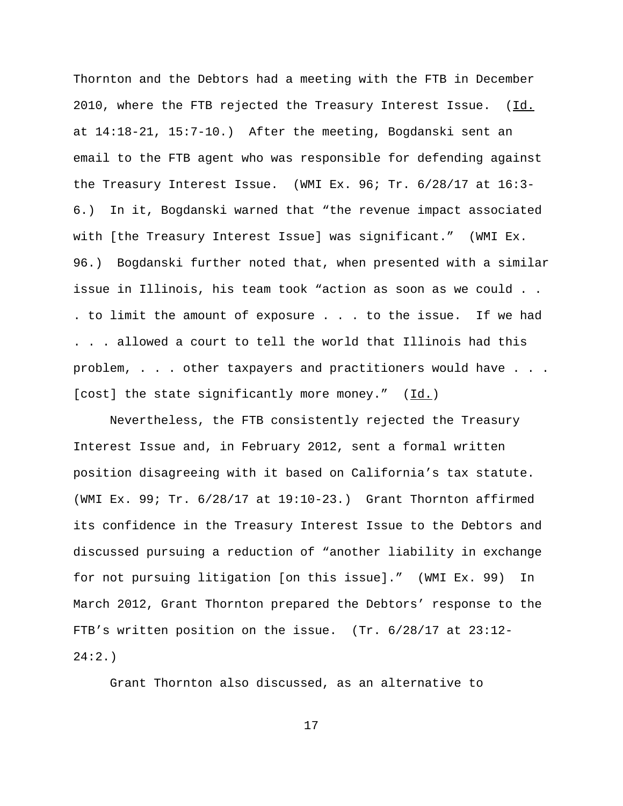Thornton and the Debtors had a meeting with the FTB in December 2010, where the FTB rejected the Treasury Interest Issue.  $(Id.$ at 14:18-21, 15:7-10.) After the meeting, Bogdanski sent an email to the FTB agent who was responsible for defending against the Treasury Interest Issue. (WMI Ex. 96; Tr. 6/28/17 at 16:3- 6.) In it, Bogdanski warned that "the revenue impact associated with [the Treasury Interest Issue] was significant." (WMI Ex. 96.) Bogdanski further noted that, when presented with a similar issue in Illinois, his team took "action as soon as we could . . . to limit the amount of exposure . . . to the issue. If we had . . . allowed a court to tell the world that Illinois had this problem, . . . other taxpayers and practitioners would have . . . [cost] the state significantly more money." (Id.)

Nevertheless, the FTB consistently rejected the Treasury Interest Issue and, in February 2012, sent a formal written position disagreeing with it based on California's tax statute. (WMI Ex. 99; Tr. 6/28/17 at 19:10-23.) Grant Thornton affirmed its confidence in the Treasury Interest Issue to the Debtors and discussed pursuing a reduction of "another liability in exchange for not pursuing litigation [on this issue]." (WMI Ex. 99) In March 2012, Grant Thornton prepared the Debtors' response to the FTB's written position on the issue. (Tr. 6/28/17 at 23:12- 24:2.)

Grant Thornton also discussed, as an alternative to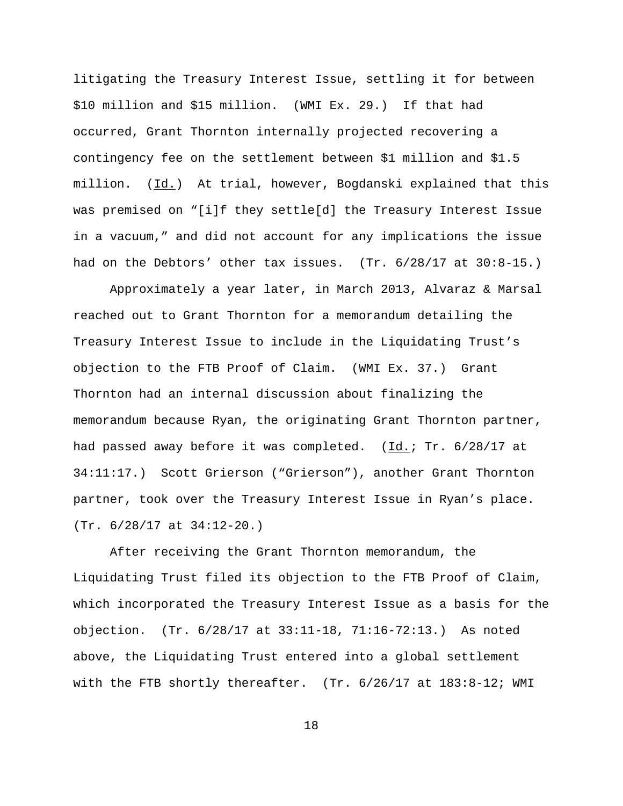litigating the Treasury Interest Issue, settling it for between \$10 million and \$15 million. (WMI Ex. 29.) If that had occurred, Grant Thornton internally projected recovering a contingency fee on the settlement between \$1 million and \$1.5 million. (Id.) At trial, however, Bogdanski explained that this was premised on "[i]f they settle[d] the Treasury Interest Issue in a vacuum," and did not account for any implications the issue had on the Debtors' other tax issues. (Tr. 6/28/17 at 30:8-15.)

Approximately a year later, in March 2013, Alvaraz & Marsal reached out to Grant Thornton for a memorandum detailing the Treasury Interest Issue to include in the Liquidating Trust's objection to the FTB Proof of Claim. (WMI Ex. 37.) Grant Thornton had an internal discussion about finalizing the memorandum because Ryan, the originating Grant Thornton partner, had passed away before it was completed.  $(\underline{Id.}; Tr. 6/28/17$  at 34:11:17.) Scott Grierson ("Grierson"), another Grant Thornton partner, took over the Treasury Interest Issue in Ryan's place. (Tr. 6/28/17 at 34:12-20.)

After receiving the Grant Thornton memorandum, the Liquidating Trust filed its objection to the FTB Proof of Claim, which incorporated the Treasury Interest Issue as a basis for the objection. (Tr. 6/28/17 at 33:11-18, 71:16-72:13.) As noted above, the Liquidating Trust entered into a global settlement with the FTB shortly thereafter. (Tr. 6/26/17 at 183:8-12; WMI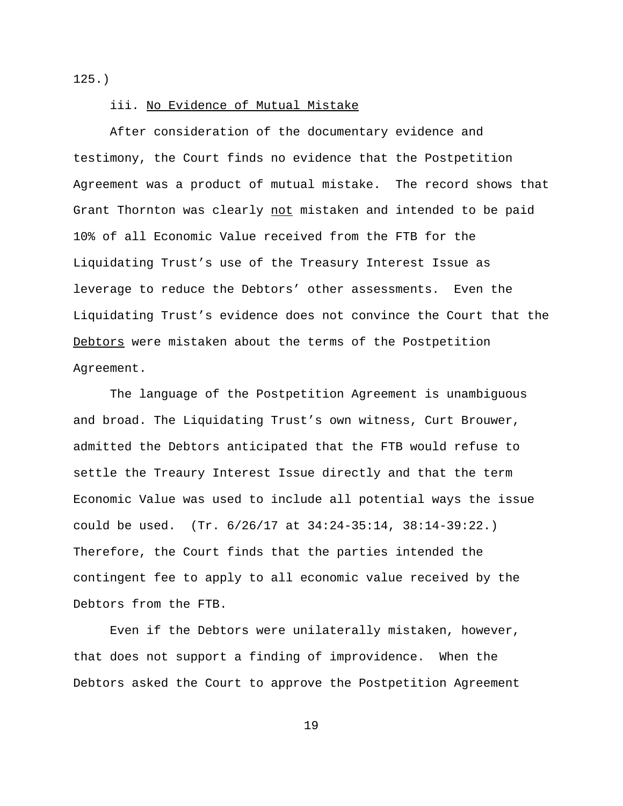125.)

### iii. No Evidence of Mutual Mistake

After consideration of the documentary evidence and testimony, the Court finds no evidence that the Postpetition Agreement was a product of mutual mistake. The record shows that Grant Thornton was clearly not mistaken and intended to be paid 10% of all Economic Value received from the FTB for the Liquidating Trust's use of the Treasury Interest Issue as leverage to reduce the Debtors' other assessments. Even the Liquidating Trust's evidence does not convince the Court that the Debtors were mistaken about the terms of the Postpetition Agreement.

The language of the Postpetition Agreement is unambiguous and broad. The Liquidating Trust's own witness, Curt Brouwer, admitted the Debtors anticipated that the FTB would refuse to settle the Treaury Interest Issue directly and that the term Economic Value was used to include all potential ways the issue could be used. (Tr. 6/26/17 at 34:24-35:14, 38:14-39:22.) Therefore, the Court finds that the parties intended the contingent fee to apply to all economic value received by the Debtors from the FTB.

Even if the Debtors were unilaterally mistaken, however, that does not support a finding of improvidence. When the Debtors asked the Court to approve the Postpetition Agreement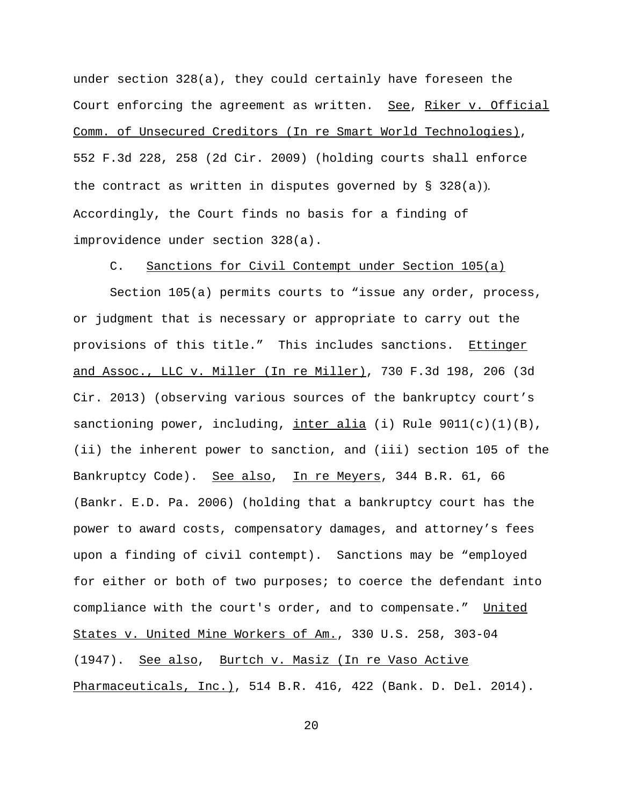under section 328(a), they could certainly have foreseen the Court enforcing the agreement as written. See, Riker v. Official Comm. of Unsecured Creditors (In re Smart World Technologies), 552 F.3d 228, 258 (2d Cir. 2009) (holding courts shall enforce the contract as written in disputes governed by § 328(a)). Accordingly, the Court finds no basis for a finding of improvidence under section 328(a).

C. Sanctions for Civil Contempt under Section 105(a)

Section 105(a) permits courts to "issue any order, process, or judgment that is necessary or appropriate to carry out the provisions of this title." This includes sanctions. Ettinger and Assoc., LLC v. Miller (In re Miller), 730 F.3d 198, 206 (3d Cir. 2013) (observing various sources of the bankruptcy court's sanctioning power, including, inter alia (i) Rule  $9011(c)(1)(B)$ , (ii) the inherent power to sanction, and (iii) section 105 of the Bankruptcy Code). See also, In re Meyers, 344 B.R. 61, 66 (Bankr. E.D. Pa. 2006) (holding that a bankruptcy court has the power to award costs, compensatory damages, and attorney's fees upon a finding of civil contempt). Sanctions may be "employed for either or both of two purposes; to coerce the defendant into compliance with the court's order, and to compensate." United States v. United Mine Workers of Am., 330 U.S. 258, 303-04 (1947). See also, Burtch v. Masiz (In re Vaso Active Pharmaceuticals, Inc.), 514 B.R. 416, 422 (Bank. D. Del. 2014).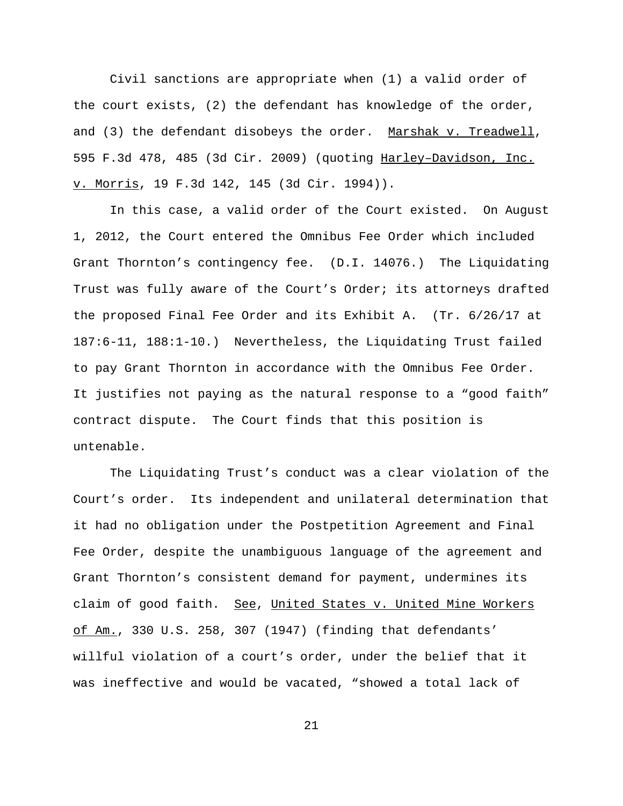Civil sanctions are appropriate when (1) a valid order of the court exists, (2) the defendant has knowledge of the order, and (3) the defendant disobeys the order. Marshak v. Treadwell, 595 F.3d 478, 485 (3d Cir. 2009) (quoting Harley–Davidson, Inc. v. Morris, 19 F.3d 142, 145 (3d Cir. 1994)).

In this case, a valid order of the Court existed. On August 1, 2012, the Court entered the Omnibus Fee Order which included Grant Thornton's contingency fee. (D.I. 14076.) The Liquidating Trust was fully aware of the Court's Order; its attorneys drafted the proposed Final Fee Order and its Exhibit A. (Tr. 6/26/17 at 187:6-11, 188:1-10.) Nevertheless, the Liquidating Trust failed to pay Grant Thornton in accordance with the Omnibus Fee Order. It justifies not paying as the natural response to a "good faith" contract dispute. The Court finds that this position is untenable.

The Liquidating Trust's conduct was a clear violation of the Court's order. Its independent and unilateral determination that it had no obligation under the Postpetition Agreement and Final Fee Order, despite the unambiguous language of the agreement and Grant Thornton's consistent demand for payment, undermines its claim of good faith. See, United States v. United Mine Workers of Am., 330 U.S. 258, 307 (1947) (finding that defendants' willful violation of a court's order, under the belief that it was ineffective and would be vacated, "showed a total lack of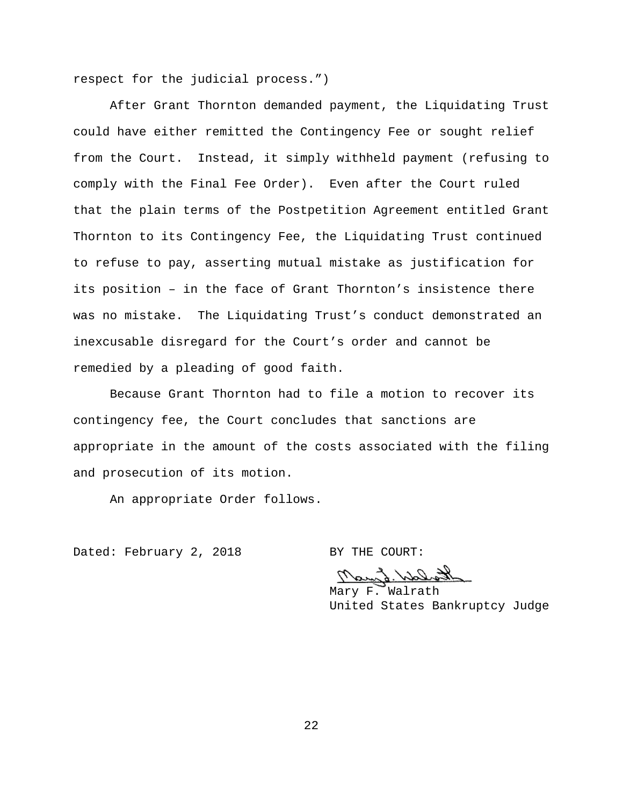respect for the judicial process.")

After Grant Thornton demanded payment, the Liquidating Trust could have either remitted the Contingency Fee or sought relief from the Court. Instead, it simply withheld payment (refusing to comply with the Final Fee Order). Even after the Court ruled that the plain terms of the Postpetition Agreement entitled Grant Thornton to its Contingency Fee, the Liquidating Trust continued to refuse to pay, asserting mutual mistake as justification for its position – in the face of Grant Thornton's insistence there was no mistake. The Liquidating Trust's conduct demonstrated an inexcusable disregard for the Court's order and cannot be remedied by a pleading of good faith.

Because Grant Thornton had to file a motion to recover its contingency fee, the Court concludes that sanctions are appropriate in the amount of the costs associated with the filing and prosecution of its motion.

An appropriate Order follows.

Dated: February 2, 2018 BY THE COURT:

tharld. Small

Mary F. Walrath United States Bankruptcy Judge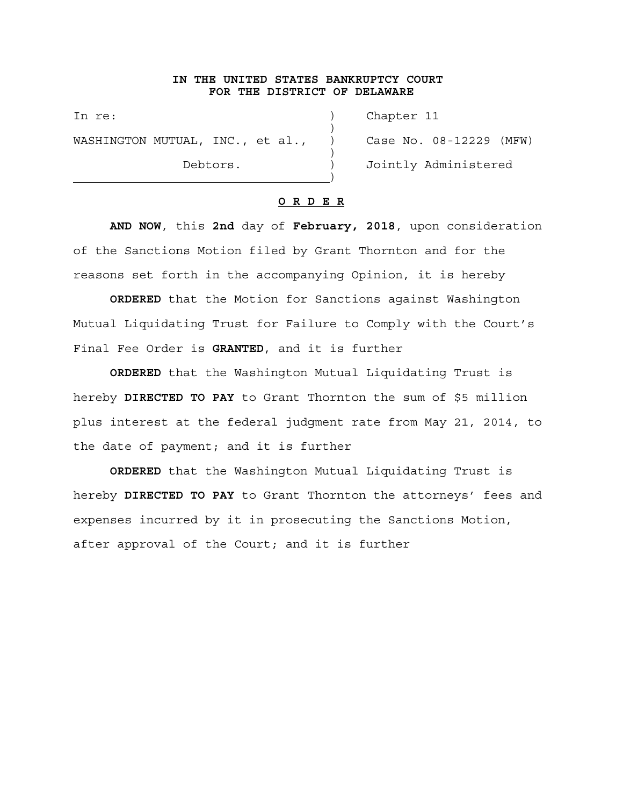## **IN THE UNITED STATES BANKRUPTCY COURT FOR THE DISTRICT OF DELAWARE**

)

)

In re: (a) Chapter 11 WASHINGTON MUTUAL, INC., et al., ) Case No. 08-12229 (MFW)

Debtors.  $)$  Jointly Administered

### **O R D E R**

**AND NOW**, this **2nd** day of **February, 2018**, upon consideration of the Sanctions Motion filed by Grant Thornton and for the reasons set forth in the accompanying Opinion, it is hereby

**ORDERED** that the Motion for Sanctions against Washington Mutual Liquidating Trust for Failure to Comply with the Court's Final Fee Order is **GRANTED**, and it is further

**ORDERED** that the Washington Mutual Liquidating Trust is hereby **DIRECTED TO PAY** to Grant Thornton the sum of \$5 million plus interest at the federal judgment rate from May 21, 2014, to the date of payment; and it is further

**ORDERED** that the Washington Mutual Liquidating Trust is hereby **DIRECTED TO PAY** to Grant Thornton the attorneys' fees and expenses incurred by it in prosecuting the Sanctions Motion, after approval of the Court; and it is further